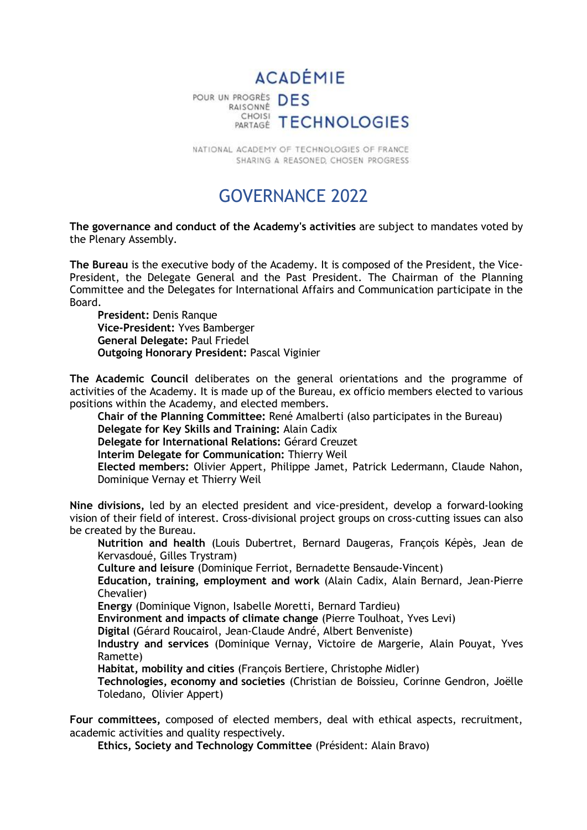

NATIONAL ACADEMY OF TECHNOLOGIES OF FRANCE SHARING A REASONED, CHOSEN PROGRESS

## GOVERNANCE 2022

**The governance and conduct of the Academy's activities** are subject to mandates voted by the Plenary Assembly.

**The Bureau** is the executive body of the Academy. It is composed of the President, the Vice-President, the Delegate General and the Past President. The Chairman of the Planning Committee and the Delegates for International Affairs and Communication participate in the Board.

**President:** Denis Ranque **Vice-President:** Yves Bamberger **General Delegate:** Paul Friedel **Outgoing Honorary President:** Pascal Viginier

**The Academic Council** deliberates on the general orientations and the programme of activities of the Academy. It is made up of the Bureau, ex officio members elected to various positions within the Academy, and elected members.

**Chair of the Planning Committee:** René Amalberti (also participates in the Bureau) **Delegate for Key Skills and Training:** Alain Cadix

**Delegate for International Relations:** Gérard Creuzet

**Interim Delegate for Communication:** Thierry Weil

**Elected members:** Olivier Appert, Philippe Jamet, Patrick Ledermann, Claude Nahon, Dominique Vernay et Thierry Weil

**Nine divisions,** led by an elected president and vice-president, develop a forward-looking vision of their field of interest. Cross-divisional project groups on cross-cutting issues can also be created by the Bureau.

**Nutrition and health** (Louis Dubertret, Bernard Daugeras, François Képès, Jean de Kervasdoué, Gilles Trystram)

**Culture and leisure** (Dominique Ferriot, Bernadette Bensaude-Vincent)

**Education, training, employment and work** (Alain Cadix, Alain Bernard, Jean-Pierre Chevalier)

**Energy** (Dominique Vignon, Isabelle Moretti, Bernard Tardieu)

**Environment and impacts of climate change** (Pierre Toulhoat, Yves Levi)

**Digital** (Gérard Roucairol, Jean-Claude André, Albert Benveniste)

**Industry and services** (Dominique Vernay, Victoire de Margerie, Alain Pouyat, Yves Ramette)

**Habitat, mobility and cities** (François Bertiere, Christophe Midler)

**Technologies, economy and societies** (Christian de Boissieu, Corinne Gendron, Joëlle Toledano, Olivier Appert)

**Four committees,** composed of elected members, deal with ethical aspects, recruitment, academic activities and quality respectively.

**Ethics, Society and Technology Committee** (Président: Alain Bravo)